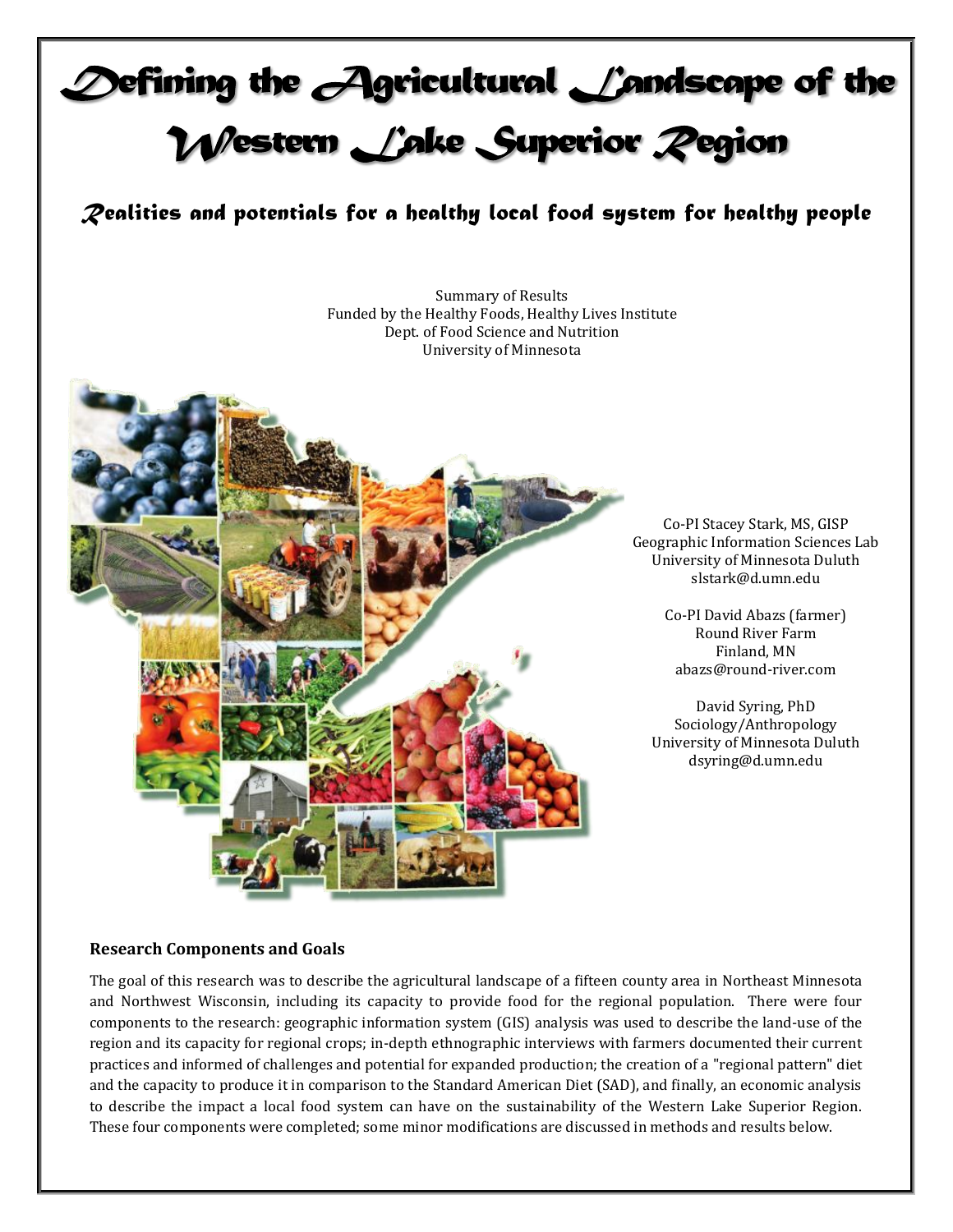# $\bigcirc$  of ining the  $\bigcirc$  aricultural  $\bigcirc$  andscape of the Western Lake Superior Pegion

*Realities and potentials for a healthy local food system for healthy people*

Summary of Results Funded by the Healthy Foods, Healthy Lives Institute Dept. of Food Science and Nutrition University of Minnesota



Co-PI Stacey Stark, MS, GISP Geographic Information Sciences Lab University of Minnesota Duluth slstark@d.umn.edu

> Co-PI David Abazs (farmer) Round River Farm Finland, MN abazs@round-river.com

David Syring, PhD Sociology/Anthropology University of Minnesota Duluth dsyring@d.umn.edu

# **Research Components and Goals**

The goal of this research was to describe the agricultural landscape of a fifteen county area in Northeast Minnesota and Northwest Wisconsin, including its capacity to provide food for the regional population. There were four components to the research: geographic information system (GIS) analysis was used to describe the land-use of the region and its capacity for regional crops; in-depth ethnographic interviews with farmers documented their current practices and informed of challenges and potential for expanded production; the creation of a "regional pattern" diet and the capacity to produce it in comparison to the Standard American Diet (SAD), and finally, an economic analysis to describe the impact a local food system can have on the sustainability of the Western Lake Superior Region. These four components were completed; some minor modifications are discussed in methods and results below.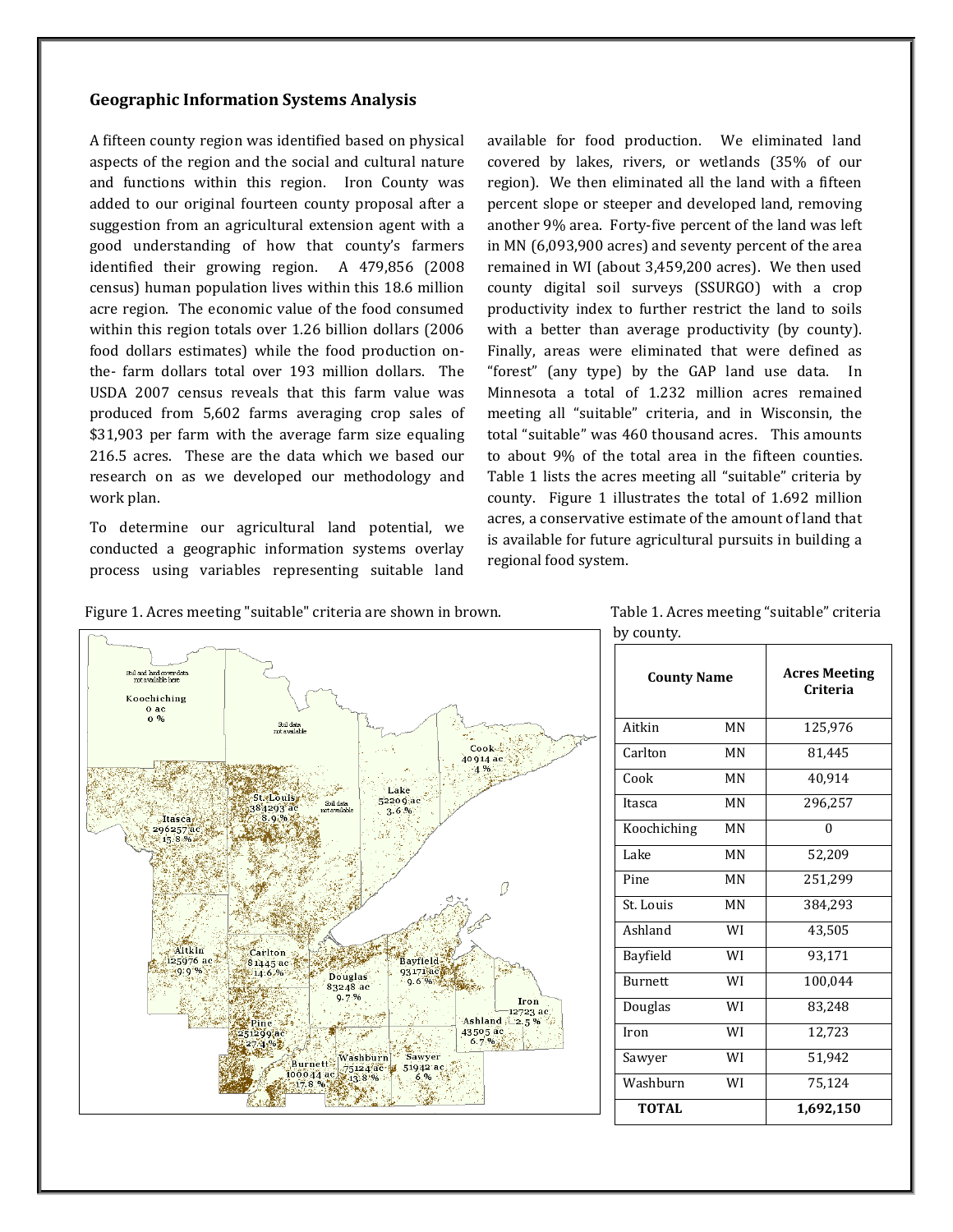# **Geographic Information Systems Analysis**

A fifteen county region was identified based on physical aspects of the region and the social and cultural nature and functions within this region. Iron County was added to our original fourteen county proposal after a suggestion from an agricultural extension agent with a good understanding of how that county's farmers identified their growing region. A 479,856 (2008 census) human population lives within this 18.6 million acre region. The economic value of the food consumed within this region totals over 1.26 billion dollars (2006 food dollars estimates) while the food production onthe- farm dollars total over 193 million dollars. The USDA 2007 census reveals that this farm value was produced from 5,602 farms averaging crop sales of \$31,903 per farm with the average farm size equaling 216.5 acres. These are the data which we based our research on as we developed our methodology and work plan.

To determine our agricultural land potential, we conducted a geographic information systems overlay process using variables representing suitable land available for food production. We eliminated land covered by lakes, rivers, or wetlands (35% of our region). We then eliminated all the land with a fifteen percent slope or steeper and developed land, removing another 9% area. Forty-five percent of the land was left in MN (6,093,900 acres) and seventy percent of the area remained in WI (about 3,459,200 acres). We then used county digital soil surveys (SSURGO) with a crop productivity index to further restrict the land to soils with a better than average productivity (by county). Finally, areas were eliminated that were defined as "forest" (any type) by the GAP land use data. In Minnesota a total of 1.232 million acres remained meeting all "suitable" criteria, and in Wisconsin, the total "suitable" was 460 thousand acres. This amounts to about 9% of the total area in the fifteen counties. Table 1 lists the acres meeting all "suitable" criteria by county. Figure 1 illustrates the total of 1.692 million acres, a conservative estimate of the amount of land that is available for future agricultural pursuits in building a regional food system.





 Table 1. Acres meeting "suitable" criteria by county.

| <b>County Name</b> |    | <b>Acres Meeting</b><br>Criteria |
|--------------------|----|----------------------------------|
| Aitkin             | MN | 125,976                          |
| Carlton            | MN | 81,445                           |
| Cook               | MN | 40,914                           |
| Itasca             | MN | 296,257                          |
| Koochiching        | MN | $\Omega$                         |
| Lake               | MN | 52,209                           |
| Pine               | MN | 251,299                          |
| St. Louis          | MN | 384,293                          |
| Ashland            | WI | 43,505                           |
| Bayfield           | WI | 93,171                           |
| <b>Burnett</b>     | WI | 100,044                          |
| Douglas            | WI | 83,248                           |
| Iron               | WI | 12,723                           |
| Sawyer             | WI | 51,942                           |
| Washburn           | WI | 75,124                           |
| <b>TOTAL</b>       |    | 1,692,150                        |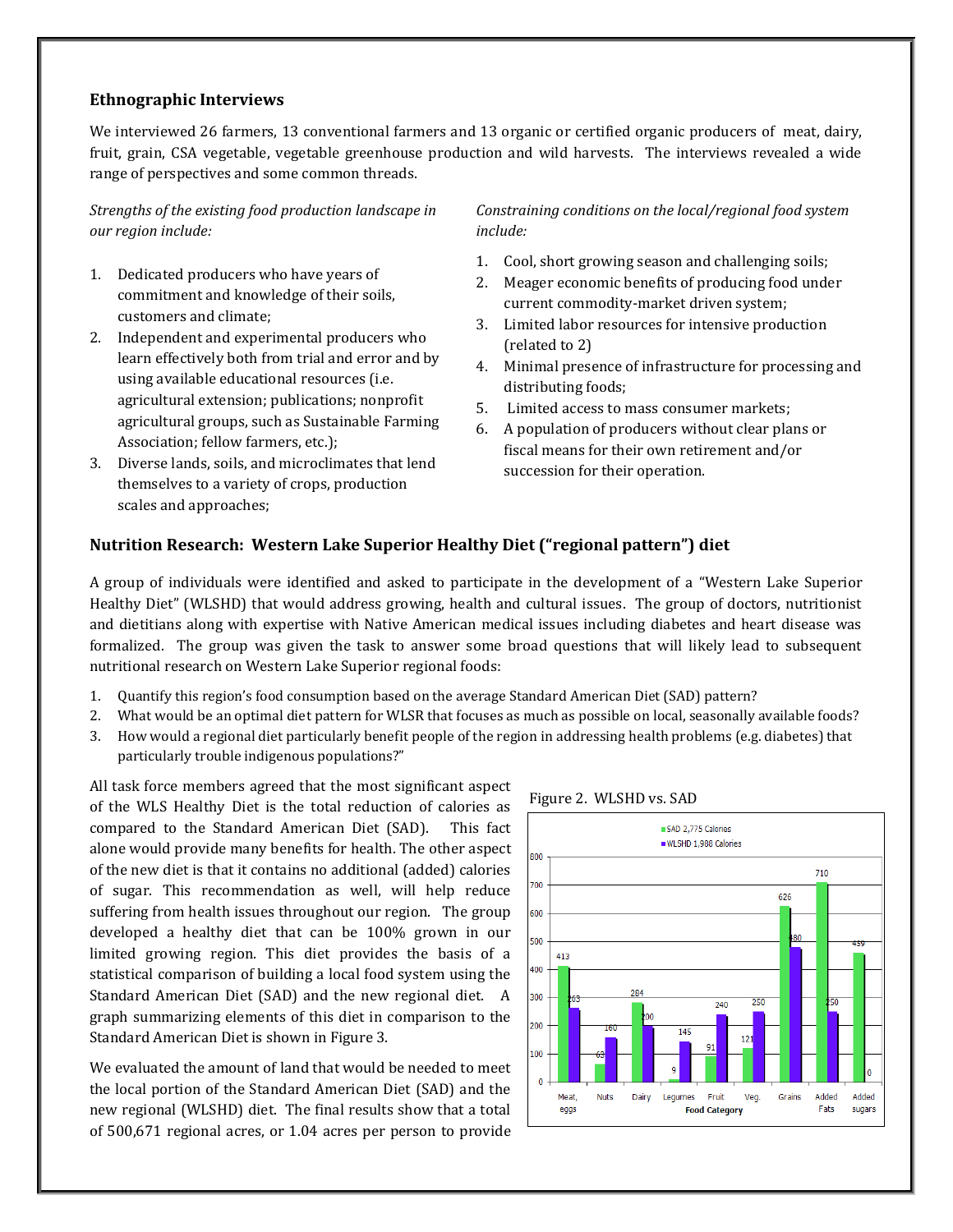### **Ethnographic Interviews**

We interviewed 26 farmers, 13 conventional farmers and 13 organic or certified organic producers of meat, dairy, fruit, grain, CSA vegetable, vegetable greenhouse production and wild harvests. The interviews revealed a wide range of perspectives and some common threads.

*Strengths of the existing food production landscape in our region include:*

- 1. Dedicated producers who have years of commitment and knowledge of their soils, customers and climate;
- 2. Independent and experimental producers who learn effectively both from trial and error and by using available educational resources (i.e. agricultural extension; publications; nonprofit agricultural groups, such as Sustainable Farming Association; fellow farmers, etc.);
- 3. Diverse lands, soils, and microclimates that lend themselves to a variety of crops, production scales and approaches;

*Constraining conditions on the local/regional food system include:*

- 1. Cool, short growing season and challenging soils;
- 2. Meager economic benefits of producing food under current commodity-market driven system;
- 3. Limited labor resources for intensive production (related to 2)
- 4. Minimal presence of infrastructure for processing and distributing foods;
- 5. Limited access to mass consumer markets;
- 6. A population of producers without clear plans or fiscal means for their own retirement and/or succession for their operation.

### **Nutrition Research: Western Lake Superior Healthy Diet ("regional pattern") diet**

A group of individuals were identified and asked to participate in the development of a "Western Lake Superior Healthy Diet" (WLSHD) that would address growing, health and cultural issues. The group of doctors, nutritionist and dietitians along with expertise with Native American medical issues including diabetes and heart disease was formalized. The group was given the task to answer some broad questions that will likely lead to subsequent nutritional research on Western Lake Superior regional foods:

- 1. Quantify this region's food consumption based on the average Standard American Diet (SAD) pattern?
- 2. What would be an optimal diet pattern for WLSR that focuses as much as possible on local, seasonally available foods?
- 3. How would a regional diet particularly benefit people of the region in addressing health problems (e.g. diabetes) that particularly trouble indigenous populations?"

All task force members agreed that the most significant aspect of the WLS Healthy Diet is the total reduction of calories as compared to the Standard American Diet (SAD). This fact alone would provide many benefits for health. The other aspect of the new diet is that it contains no additional (added) calories of sugar. This recommendation as well, will help reduce suffering from health issues throughout our region. The group developed a healthy diet that can be 100% grown in our limited growing region. This diet provides the basis of a statistical comparison of building a local food system using the Standard American Diet (SAD) and the new regional diet. A graph summarizing elements of this diet in comparison to the Standard American Diet is shown in Figure 3.

We evaluated the amount of land that would be needed to meet the local portion of the Standard American Diet (SAD) and the new regional (WLSHD) diet. The final results show that a total of 500,671 regional acres, or 1.04 acres per person to provide



#### Figure 2. WLSHD vs. SAD